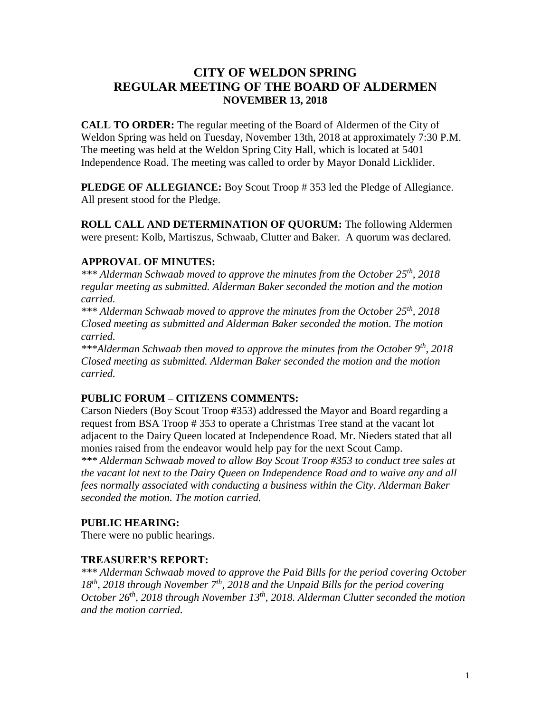# **CITY OF WELDON SPRING REGULAR MEETING OF THE BOARD OF ALDERMEN NOVEMBER 13, 2018**

**CALL TO ORDER:** The regular meeting of the Board of Aldermen of the City of Weldon Spring was held on Tuesday, November 13th, 2018 at approximately 7:30 P.M. The meeting was held at the Weldon Spring City Hall, which is located at 5401 Independence Road. The meeting was called to order by Mayor Donald Licklider.

**PLEDGE OF ALLEGIANCE:** Boy Scout Troop #353 led the Pledge of Allegiance. All present stood for the Pledge.

**ROLL CALL AND DETERMINATION OF QUORUM:** The following Aldermen were present: Kolb, Martiszus, Schwaab, Clutter and Baker. A quorum was declared.

## **APPROVAL OF MINUTES:**

*\*\*\* Alderman Schwaab moved to approve the minutes from the October 25th , 2018 regular meeting as submitted. Alderman Baker seconded the motion and the motion carried.*

*\*\*\* Alderman Schwaab moved to approve the minutes from the October 25th, 2018 Closed meeting as submitted and Alderman Baker seconded the motion. The motion carried.*

*\*\*\*Alderman Schwaab then moved to approve the minutes from the October 9th, 2018 Closed meeting as submitted. Alderman Baker seconded the motion and the motion carried.*

## **PUBLIC FORUM – CITIZENS COMMENTS:**

Carson Nieders (Boy Scout Troop #353) addressed the Mayor and Board regarding a request from BSA Troop # 353 to operate a Christmas Tree stand at the vacant lot adjacent to the Dairy Queen located at Independence Road. Mr. Nieders stated that all monies raised from the endeavor would help pay for the next Scout Camp.

*\*\*\* Alderman Schwaab moved to allow Boy Scout Troop #353 to conduct tree sales at the vacant lot next to the Dairy Queen on Independence Road and to waive any and all fees normally associated with conducting a business within the City. Alderman Baker seconded the motion. The motion carried.*

## **PUBLIC HEARING:**

There were no public hearings.

## **TREASURER'S REPORT:**

*\*\*\* Alderman Schwaab moved to approve the Paid Bills for the period covering October 18th , 2018 through November 7th , 2018 and the Unpaid Bills for the period covering October 26th, 2018 through November 13th , 2018. Alderman Clutter seconded the motion and the motion carried.*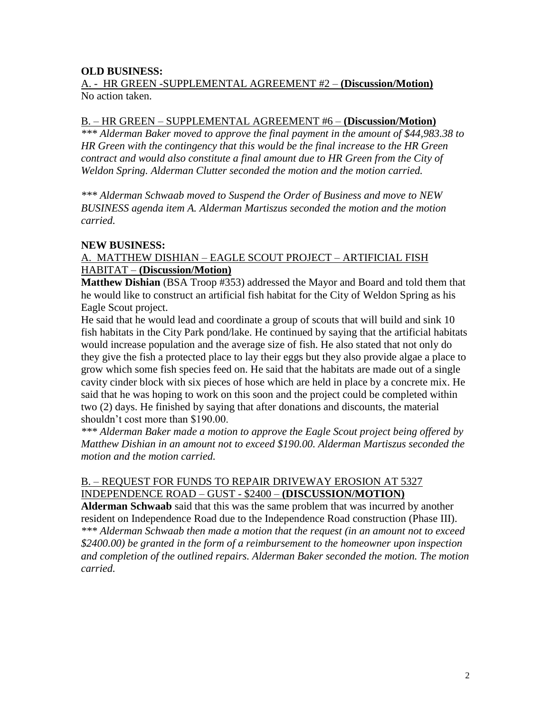## **OLD BUSINESS:**

### A. - HR GREEN -SUPPLEMENTAL AGREEMENT #2 – **(Discussion/Motion)** No action taken.

### B. – HR GREEN – SUPPLEMENTAL AGREEMENT #6 – **(Discussion/Motion)**

*\*\*\* Alderman Baker moved to approve the final payment in the amount of \$44,983.38 to HR Green with the contingency that this would be the final increase to the HR Green contract and would also constitute a final amount due to HR Green from the City of Weldon Spring. Alderman Clutter seconded the motion and the motion carried.*

*\*\*\* Alderman Schwaab moved to Suspend the Order of Business and move to NEW BUSINESS agenda item A. Alderman Martiszus seconded the motion and the motion carried.*

### **NEW BUSINESS:**

### A. MATTHEW DISHIAN – EAGLE SCOUT PROJECT – ARTIFICIAL FISH HABITAT – **(Discussion/Motion)**

**Matthew Dishian** (BSA Troop #353) addressed the Mayor and Board and told them that he would like to construct an artificial fish habitat for the City of Weldon Spring as his Eagle Scout project.

He said that he would lead and coordinate a group of scouts that will build and sink 10 fish habitats in the City Park pond/lake. He continued by saying that the artificial habitats would increase population and the average size of fish. He also stated that not only do they give the fish a protected place to lay their eggs but they also provide algae a place to grow which some fish species feed on. He said that the habitats are made out of a single cavity cinder block with six pieces of hose which are held in place by a concrete mix. He said that he was hoping to work on this soon and the project could be completed within two (2) days. He finished by saying that after donations and discounts, the material shouldn't cost more than \$190.00.

*\*\*\* Alderman Baker made a motion to approve the Eagle Scout project being offered by Matthew Dishian in an amount not to exceed \$190.00. Alderman Martiszus seconded the motion and the motion carried.*

## B. – REQUEST FOR FUNDS TO REPAIR DRIVEWAY EROSION AT 5327 INDEPENDENCE ROAD – GUST - \$2400 – **(DISCUSSION/MOTION)**

**Alderman Schwaab** said that this was the same problem that was incurred by another resident on Independence Road due to the Independence Road construction (Phase III). *\*\*\* Alderman Schwaab then made a motion that the request (in an amount not to exceed \$2400.00) be granted in the form of a reimbursement to the homeowner upon inspection and completion of the outlined repairs. Alderman Baker seconded the motion. The motion carried.*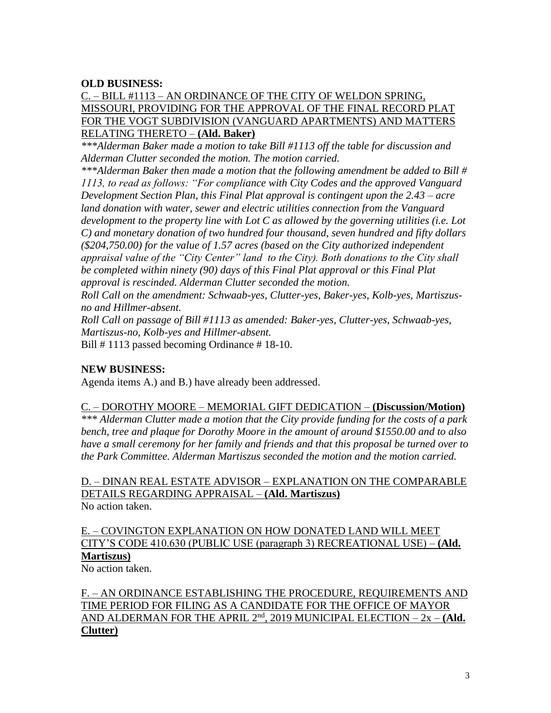### **OLD BUSINESS:**

## C. – BILL #1113 – AN ORDINANCE OF THE CITY OF WELDON SPRING, MISSOURI, PROVIDING FOR THE APPROVAL OF THE FINAL RECORD PLAT FOR THE VOGT SUBDIVISION (VANGUARD APARTMENTS) AND MATTERS RELATING THERETO – **(Ald. Baker)**

*\*\*\*Alderman Baker made a motion to take Bill #1113 off the table for discussion and Alderman Clutter seconded the motion. The motion carried.*

*\*\*\*Alderman Baker then made a motion that the following amendment be added to Bill # 1113, to read as follows: "For compliance with City Codes and the approved Vanguard Development Section Plan, this Final Plat approval is contingent upon the 2.43 – acre land donation with water, sewer and electric utilities connection from the Vanguard development to the property line with Lot C as allowed by the governing utilities (i.e. Lot C) and monetary donation of two hundred four thousand, seven hundred and fifty dollars (\$204,750.00) for the value of 1.57 acres (based on the City authorized independent appraisal value of the "City Center" land to the City). Both donations to the City shall be completed within ninety (90) days of this Final Plat approval or this Final Plat approval is rescinded. Alderman Clutter seconded the motion.* 

*Roll Call on the amendment: Schwaab-yes, Clutter-yes, Baker-yes, Kolb-yes, Martiszusno and Hillmer-absent.*

*Roll Call on passage of Bill #1113 as amended: Baker-yes, Clutter-yes, Schwaab-yes, Martiszus-no, Kolb-yes and Hillmer-absent.*

Bill # 1113 passed becoming Ordinance # 18-10.

#### **NEW BUSINESS:**

Agenda items A.) and B.) have already been addressed.

#### C. – DOROTHY MOORE – MEMORIAL GIFT DEDICATION – **(Discussion/Motion)**

*\*\*\* Alderman Clutter made a motion that the City provide funding for the costs of a park bench, tree and plaque for Dorothy Moore in the amount of around \$1550.00 and to also have a small ceremony for her family and friends and that this proposal be turned over to the Park Committee. Alderman Martiszus seconded the motion and the motion carried.*

D. – DINAN REAL ESTATE ADVISOR – EXPLANATION ON THE COMPARABLE DETAILS REGARDING APPRAISAL – **(Ald. Martiszus)** No action taken.

## E. – COVINGTON EXPLANATION ON HOW DONATED LAND WILL MEET CITY'S CODE 410.630 (PUBLIC USE (paragraph 3) RECREATIONAL USE) – **(Ald. Martiszus)**

No action taken.

F. – AN ORDINANCE ESTABLISHING THE PROCEDURE, REQUIREMENTS AND TIME PERIOD FOR FILING AS A CANDIDATE FOR THE OFFICE OF MAYOR AND ALDERMAN FOR THE APRIL 2<sup>nd</sup>, 2019 MUNICIPAL ELECTION – 2x – (Ald. **Clutter)**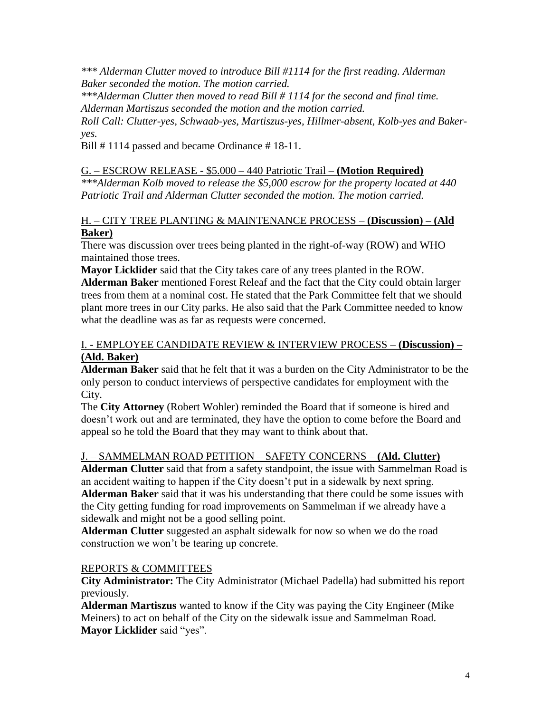*\*\*\* Alderman Clutter moved to introduce Bill #1114 for the first reading. Alderman Baker seconded the motion. The motion carried.*

*\*\*\*Alderman Clutter then moved to read Bill # 1114 for the second and final time. Alderman Martiszus seconded the motion and the motion carried.*

*Roll Call: Clutter-yes, Schwaab-yes, Martiszus-yes, Hillmer-absent, Kolb-yes and Bakeryes.*

Bill #1114 passed and became Ordinance #18-11.

## G. – ESCROW RELEASE - \$5.000 – 440 Patriotic Trail – **(Motion Required)**

*\*\*\*Alderman Kolb moved to release the \$5,000 escrow for the property located at 440 Patriotic Trail and Alderman Clutter seconded the motion. The motion carried.*

## H. – CITY TREE PLANTING & MAINTENANCE PROCESS – **(Discussion) – (Ald Baker)**

There was discussion over trees being planted in the right-of-way (ROW) and WHO maintained those trees.

**Mayor Licklider** said that the City takes care of any trees planted in the ROW.

**Alderman Baker** mentioned Forest Releaf and the fact that the City could obtain larger trees from them at a nominal cost. He stated that the Park Committee felt that we should plant more trees in our City parks. He also said that the Park Committee needed to know what the deadline was as far as requests were concerned.

## I. - EMPLOYEE CANDIDATE REVIEW & INTERVIEW PROCESS – **(Discussion) – (Ald. Baker)**

**Alderman Baker** said that he felt that it was a burden on the City Administrator to be the only person to conduct interviews of perspective candidates for employment with the City.

The **City Attorney** (Robert Wohler) reminded the Board that if someone is hired and doesn't work out and are terminated, they have the option to come before the Board and appeal so he told the Board that they may want to think about that.

# J. – SAMMELMAN ROAD PETITION – SAFETY CONCERNS – **(Ald. Clutter)**

**Alderman Clutter** said that from a safety standpoint, the issue with Sammelman Road is an accident waiting to happen if the City doesn't put in a sidewalk by next spring. **Alderman Baker** said that it was his understanding that there could be some issues with the City getting funding for road improvements on Sammelman if we already have a sidewalk and might not be a good selling point.

**Alderman Clutter** suggested an asphalt sidewalk for now so when we do the road construction we won't be tearing up concrete.

## REPORTS & COMMITTEES

**City Administrator:** The City Administrator (Michael Padella) had submitted his report previously.

**Alderman Martiszus** wanted to know if the City was paying the City Engineer (Mike Meiners) to act on behalf of the City on the sidewalk issue and Sammelman Road. **Mayor Licklider** said "yes".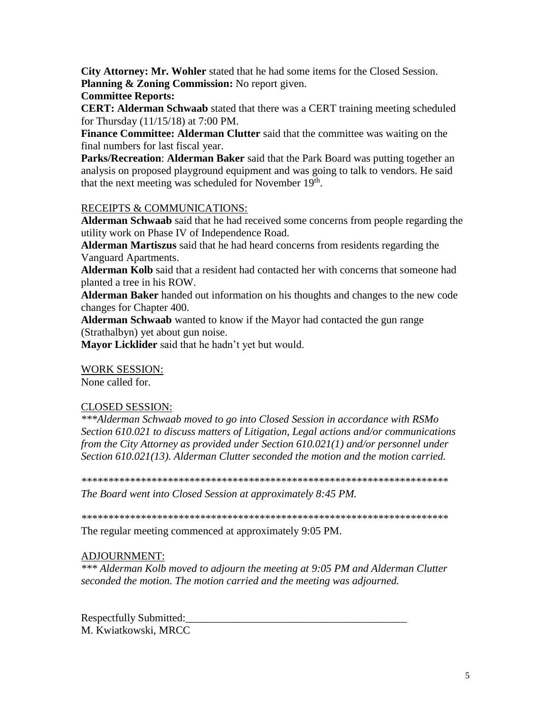City Attorney: Mr. Wohler stated that he had some items for the Closed Session. Planning & Zoning Commission: No report given.

### **Committee Reports:**

CERT: Alderman Schwaab stated that there was a CERT training meeting scheduled for Thursday  $(11/15/18)$  at 7:00 PM.

Finance Committee: Alderman Clutter said that the committee was waiting on the final numbers for last fiscal year.

Parks/Recreation: Alderman Baker said that the Park Board was putting together an analysis on proposed playground equipment and was going to talk to vendors. He said that the next meeting was scheduled for November 19<sup>th</sup>.

## RECEIPTS & COMMUNICATIONS:

**Alderman Schwaab** said that he had received some concerns from people regarding the utility work on Phase IV of Independence Road.

**Alderman Martiszus** said that he had heard concerns from residents regarding the Vanguard Apartments.

Alderman Kolb said that a resident had contacted her with concerns that someone had planted a tree in his ROW.

Alderman Baker handed out information on his thoughts and changes to the new code changes for Chapter 400.

Alderman Schwaab wanted to know if the Mayor had contacted the gun range (Strathalbyn) yet about gun noise.

Mayor Licklider said that he hadn't yet but would.

#### **WORK SESSION:**

None called for.

#### **CLOSED SESSION:**

\*\*\*Alderman Schwaab moved to go into Closed Session in accordance with RSMo Section 610.021 to discuss matters of Litigation, Legal actions and/or communications from the City Attorney as provided under Section  $610.021(1)$  and/or personnel under Section 610.021(13). Alderman Clutter seconded the motion and the motion carried.

The Board went into Closed Session at approximately 8:45 PM.

The regular meeting commenced at approximately 9:05 PM.

## **ADJOURNMENT:**

\*\*\* Alderman Kolb moved to adjourn the meeting at 9:05 PM and Alderman Clutter seconded the motion. The motion carried and the meeting was adjourned.

Respectfully Submitted: M. Kwiatkowski, MRCC